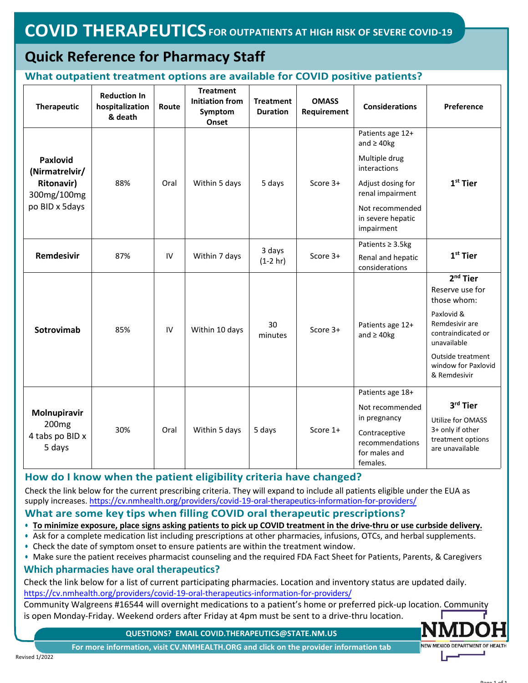# **Quick Reference for Pharmacy Staff**

## **What outpatient treatment options are available for COVID positive patients?**

| Therapeutic                                                                             | <b>Reduction In</b><br>hospitalization<br>& death | Route | <b>Treatment</b><br><b>Initiation from</b><br>Symptom<br>Onset | <b>Treatment</b><br><b>Duration</b> | <b>OMASS</b><br>Requirement | <b>Considerations</b>                                                                                                                                 | Preference                                                                                                                                                                    |
|-----------------------------------------------------------------------------------------|---------------------------------------------------|-------|----------------------------------------------------------------|-------------------------------------|-----------------------------|-------------------------------------------------------------------------------------------------------------------------------------------------------|-------------------------------------------------------------------------------------------------------------------------------------------------------------------------------|
| <b>Paxlovid</b><br>(Nirmatrelvir/<br><b>Ritonavir)</b><br>300mg/100mg<br>po BID x 5days | 88%                                               | Oral  | Within 5 days                                                  | 5 days                              | Score 3+                    | Patients age 12+<br>and $\geq$ 40kg<br>Multiple drug<br>interactions<br>Adjust dosing for<br>renal impairment<br>Not recommended<br>in severe hepatic | $1st$ Tier                                                                                                                                                                    |
|                                                                                         |                                                   |       |                                                                |                                     |                             | impairment<br>Patients $\geq$ 3.5kg                                                                                                                   |                                                                                                                                                                               |
| Remdesivir                                                                              | 87%                                               | IV    | Within 7 days                                                  | 3 days<br>$(1-2 hr)$                | Score 3+                    | Renal and hepatic<br>considerations                                                                                                                   | $1st$ Tier                                                                                                                                                                    |
| Sotrovimab                                                                              | 85%                                               | IV    | Within 10 days                                                 | 30<br>minutes                       | Score 3+                    | Patients age 12+<br>and $\geq$ 40kg                                                                                                                   | $2nd$ Tier<br>Reserve use for<br>those whom:<br>Paxlovid &<br>Remdesivir are<br>contraindicated or<br>unavailable<br>Outside treatment<br>window for Paxlovid<br>& Remdesivir |
| Molnupiravir<br>200 <sub>mg</sub><br>4 tabs po BID x<br>5 days                          | 30%                                               | Oral  | Within 5 days                                                  | 5 days                              | Score 1+                    | Patients age 18+<br>Not recommended<br>in pregnancy<br>Contraceptive<br>recommendations<br>for males and<br>females.                                  | 3rd Tier<br>Utilize for OMASS<br>3+ only if other<br>treatment options<br>are unavailable                                                                                     |

# **How do I know when the patient eligibility criteria have changed?**

Check the link below for the current prescribing criteria. They will expand to include all patients eligible under the EUA as supply increases. https://cv.nmhealth.org/providers/covid[-19-oral-therapeutics-information-for-p](https://cv.nmhealth.org/providers/covid-19-oral-therapeutics-information-for-providers/)roviders/

#### **What are some key tips when filling COVID oral therapeutic pre[scription](https://cv.nmhealth.org/providers/covid-19-oral-therapeutics-information-for-providers/)s?**

- **• To minimize exposure, place signs asking patients to pick up COVID treatment in the drive-thru or use curbside delivery.**
- **•** Ask for a complete medication list including prescriptions at other pharmacies, infusions, OTCs, and herbal supplements. **•** Check the date of symptom onset to ensure patients are within the treatment window.
- **•** Make sure the patient receives pharmacist counseling and the required FDA Fact Sheet for Patients, Parents, & Caregivers

### **Which pharmacies have oral therapeutics?**

Check the link below for a list of current participating pharmacies. Location and inventory status are updated daily. https://cv.nmhealth.org/providers/covid-19-oral-therapeutics-information-for-providers/

Community Walgreens #16544 will [overnight medications](https://cv.nmhealth.org/providers/covid-19-oral-therapeutics-information-for-providers/) to a patient's home or preferred pick-up location. Community is open Monday-Friday. Weekend orders after Friday at 4pm must be sent to a drive-thru location.

**QUESTIONS? EMAIL COVID.THERAPEUTICS@STATE.NM.US**

**For more information, visit CV.NMHEALTH.ORG and click on the provider information tab**

NEW MEXICO DEPARTMENT OF HEALTH